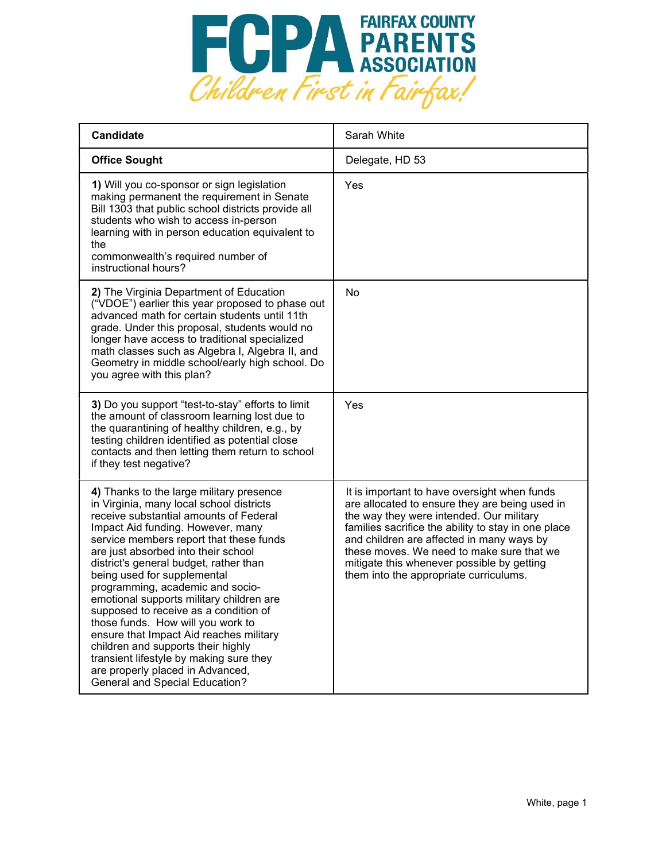

| <b>Candidate</b>                                                                                                                                                                                                                                                                                                                                                                                                                                                                                                                                                                                                                                                                                      | Sarah White                                                                                                                                                                                                                                                                                                                                                                         |
|-------------------------------------------------------------------------------------------------------------------------------------------------------------------------------------------------------------------------------------------------------------------------------------------------------------------------------------------------------------------------------------------------------------------------------------------------------------------------------------------------------------------------------------------------------------------------------------------------------------------------------------------------------------------------------------------------------|-------------------------------------------------------------------------------------------------------------------------------------------------------------------------------------------------------------------------------------------------------------------------------------------------------------------------------------------------------------------------------------|
| <b>Office Sought</b>                                                                                                                                                                                                                                                                                                                                                                                                                                                                                                                                                                                                                                                                                  | Delegate, HD 53                                                                                                                                                                                                                                                                                                                                                                     |
| 1) Will you co-sponsor or sign legislation<br>making permanent the requirement in Senate<br>Bill 1303 that public school districts provide all<br>students who wish to access in-person<br>learning with in person education equivalent to<br>the<br>commonwealth's required number of<br>instructional hours?                                                                                                                                                                                                                                                                                                                                                                                        | Yes                                                                                                                                                                                                                                                                                                                                                                                 |
| 2) The Virginia Department of Education<br>("VDOE") earlier this year proposed to phase out<br>advanced math for certain students until 11th<br>grade. Under this proposal, students would no<br>longer have access to traditional specialized<br>math classes such as Algebra I, Algebra II, and<br>Geometry in middle school/early high school. Do<br>you agree with this plan?                                                                                                                                                                                                                                                                                                                     | No                                                                                                                                                                                                                                                                                                                                                                                  |
| 3) Do you support "test-to-stay" efforts to limit<br>the amount of classroom learning lost due to<br>the quarantining of healthy children, e.g., by<br>testing children identified as potential close<br>contacts and then letting them return to school<br>if they test negative?                                                                                                                                                                                                                                                                                                                                                                                                                    | Yes                                                                                                                                                                                                                                                                                                                                                                                 |
| 4) Thanks to the large military presence<br>in Virginia, many local school districts<br>receive substantial amounts of Federal<br>Impact Aid funding. However, many<br>service members report that these funds<br>are just absorbed into their school<br>district's general budget, rather than<br>being used for supplemental<br>programming, academic and socio-<br>emotional supports military children are<br>supposed to receive as a condition of<br>those funds. How will you work to<br>ensure that Impact Aid reaches military<br>children and supports their highly<br>transient lifestyle by making sure they<br>are properly placed in Advanced,<br><b>General and Special Education?</b> | It is important to have oversight when funds<br>are allocated to ensure they are being used in<br>the way they were intended. Our military<br>families sacrifice the ability to stay in one place<br>and children are affected in many ways by<br>these moves. We need to make sure that we<br>mitigate this whenever possible by getting<br>them into the appropriate curriculums. |